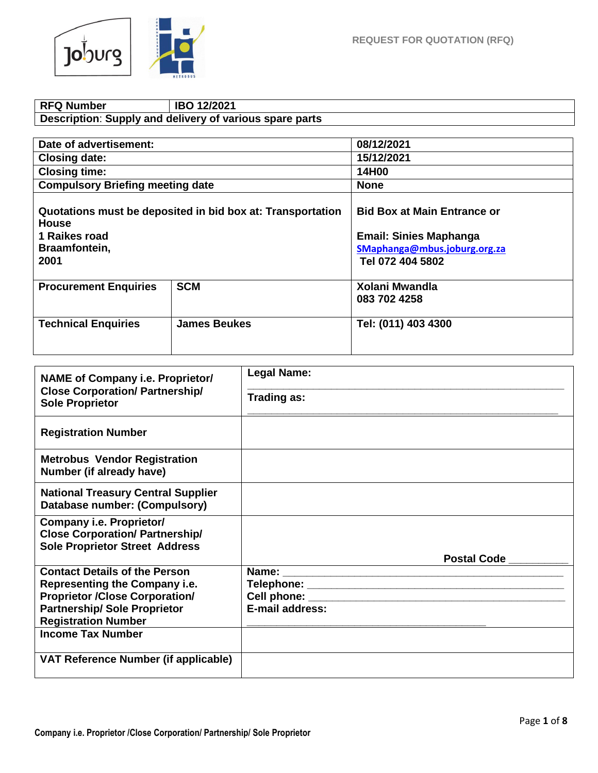

## **RFQ Number IBO 12/2021 Description**: **Supply and delivery of various spare parts**

| Date of advertisement:                                                                                               |                     | 08/12/2021                                                                                                              |  |
|----------------------------------------------------------------------------------------------------------------------|---------------------|-------------------------------------------------------------------------------------------------------------------------|--|
| <b>Closing date:</b>                                                                                                 |                     | 15/12/2021                                                                                                              |  |
| <b>Closing time:</b>                                                                                                 |                     | 14H00                                                                                                                   |  |
| <b>Compulsory Briefing meeting date</b>                                                                              |                     | <b>None</b>                                                                                                             |  |
| Quotations must be deposited in bid box at: Transportation<br><b>House</b><br>1 Raikes road<br>Braamfontein,<br>2001 |                     | <b>Bid Box at Main Entrance or</b><br><b>Email: Sinies Maphanga</b><br>SMaphanga@mbus.joburg.org.za<br>Tel 072 404 5802 |  |
| <b>Procurement Enquiries</b>                                                                                         | <b>SCM</b>          | <b>Xolani Mwandla</b><br>083 702 4258                                                                                   |  |
| <b>Technical Enquiries</b>                                                                                           | <b>James Beukes</b> | Tel: (011) 403 4300                                                                                                     |  |

| <b>NAME of Company i.e. Proprietor/</b>                                                                            | <b>Legal Name:</b>              |
|--------------------------------------------------------------------------------------------------------------------|---------------------------------|
| <b>Close Corporation/ Partnership/</b><br><b>Sole Proprietor</b>                                                   | Trading as:                     |
| <b>Registration Number</b>                                                                                         |                                 |
| <b>Metrobus Vendor Registration</b><br>Number (if already have)                                                    |                                 |
| <b>National Treasury Central Supplier</b><br>Database number: (Compulsory)                                         |                                 |
| <b>Company i.e. Proprietor/</b><br><b>Close Corporation/ Partnership/</b><br><b>Sole Proprietor Street Address</b> | Postal Code __                  |
| <b>Contact Details of the Person</b>                                                                               |                                 |
| Representing the Company i.e.                                                                                      |                                 |
| <b>Proprietor /Close Corporation/</b>                                                                              | Cell phone: William Cell phone: |
| <b>Partnership/ Sole Proprietor</b>                                                                                | E-mail address:                 |
| <b>Registration Number</b>                                                                                         |                                 |
| <b>Income Tax Number</b>                                                                                           |                                 |
| VAT Reference Number (if applicable)                                                                               |                                 |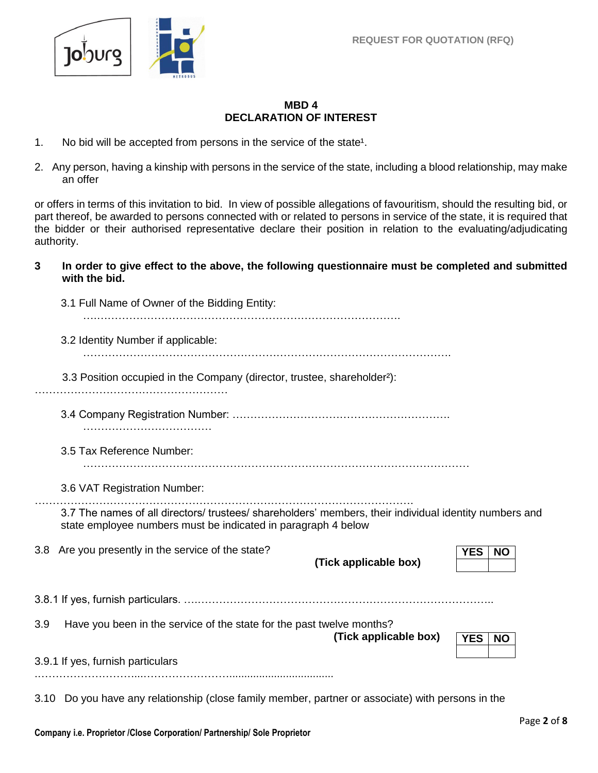

#### **MBD 4 DECLARATION OF INTEREST**

- 1. No bid will be accepted from persons in the service of the state<sup>1</sup>.
- 2. Any person, having a kinship with persons in the service of the state, including a blood relationship, may make an offer

or offers in terms of this invitation to bid. In view of possible allegations of favouritism, should the resulting bid, or part thereof, be awarded to persons connected with or related to persons in service of the state, it is required that the bidder or their authorised representative declare their position in relation to the evaluating/adjudicating authority.

**3 In order to give effect to the above, the following questionnaire must be completed and submitted with the bid.**

|     | 3.1 Full Name of Owner of the Bidding Entity:                                                                                                                           |
|-----|-------------------------------------------------------------------------------------------------------------------------------------------------------------------------|
|     | 3.2 Identity Number if applicable:                                                                                                                                      |
|     | 3.3 Position occupied in the Company (director, trustee, shareholder <sup>2</sup> ):                                                                                    |
|     |                                                                                                                                                                         |
|     | 3.5 Tax Reference Number:                                                                                                                                               |
|     | 3.6 VAT Registration Number:                                                                                                                                            |
|     | 3.7 The names of all directors/ trustees/ shareholders' members, their individual identity numbers and<br>state employee numbers must be indicated in paragraph 4 below |
|     | 3.8 Are you presently in the service of the state?<br><b>YES</b><br><b>NO</b><br>(Tick applicable box)                                                                  |
|     | 3.8.1 If yes, furnish particulars. ………………………………………………………………………                                                                                                          |
| 3.9 | Have you been in the service of the state for the past twelve months?<br>(Tick applicable box)<br><b>YES</b><br><b>NO</b>                                               |
|     | 3.9.1 If yes, furnish particulars                                                                                                                                       |
|     |                                                                                                                                                                         |

3.10 Do you have any relationship (close family member, partner or associate) with persons in the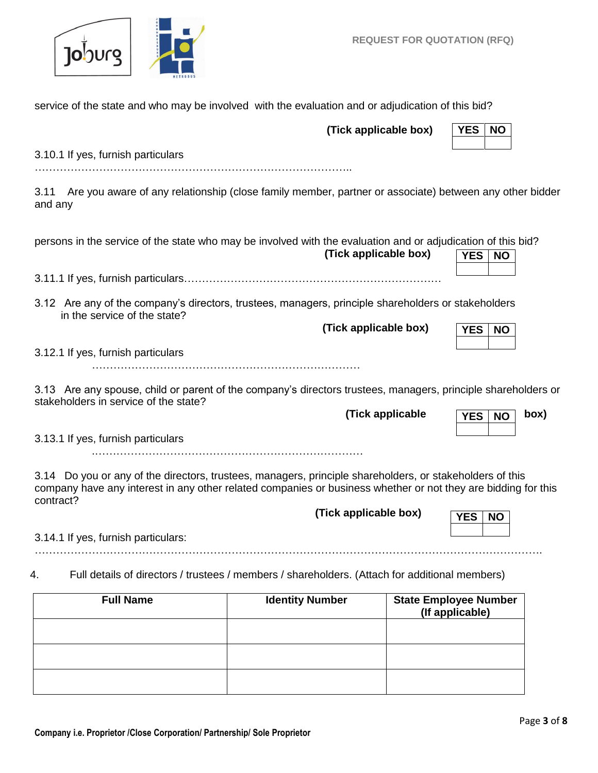

|                                                                                                                                                                                                                                                                 | (Tick applicable box)                                                                                  |  | <b>YES</b><br><b>NO</b>                         |      |  |
|-----------------------------------------------------------------------------------------------------------------------------------------------------------------------------------------------------------------------------------------------------------------|--------------------------------------------------------------------------------------------------------|--|-------------------------------------------------|------|--|
| 3.10.1 If yes, furnish particulars                                                                                                                                                                                                                              |                                                                                                        |  |                                                 |      |  |
| 3.11<br>and any                                                                                                                                                                                                                                                 | Are you aware of any relationship (close family member, partner or associate) between any other bidder |  |                                                 |      |  |
| persons in the service of the state who may be involved with the evaluation and or adjudication of this bid?                                                                                                                                                    | (Tick applicable box)                                                                                  |  | <b>YES</b><br><b>NO</b>                         |      |  |
|                                                                                                                                                                                                                                                                 |                                                                                                        |  |                                                 |      |  |
| 3.12 Are any of the company's directors, trustees, managers, principle shareholders or stakeholders<br>in the service of the state?                                                                                                                             |                                                                                                        |  |                                                 |      |  |
|                                                                                                                                                                                                                                                                 | (Tick applicable box)                                                                                  |  | YES  <br><b>NO</b>                              |      |  |
| 3.12.1 If yes, furnish particulars                                                                                                                                                                                                                              |                                                                                                        |  |                                                 |      |  |
| 3.13 Are any spouse, child or parent of the company's directors trustees, managers, principle shareholders or<br>stakeholders in service of the state?                                                                                                          |                                                                                                        |  |                                                 |      |  |
|                                                                                                                                                                                                                                                                 | (Tick applicable                                                                                       |  | <b>YES</b><br><b>NO</b>                         | box) |  |
| 3.13.1 If yes, furnish particulars                                                                                                                                                                                                                              |                                                                                                        |  |                                                 |      |  |
| 3.14 Do you or any of the directors, trustees, managers, principle shareholders, or stakeholders of this<br>company have any interest in any other related companies or business whether or not they are bidding for this<br>contract?<br>(Tick applicable box) |                                                                                                        |  |                                                 |      |  |
|                                                                                                                                                                                                                                                                 |                                                                                                        |  | <b>YES</b><br><b>NO</b>                         |      |  |
| 3.14.1 If yes, furnish particulars:                                                                                                                                                                                                                             |                                                                                                        |  |                                                 |      |  |
| Full details of directors / trustees / members / shareholders. (Attach for additional members)<br>4.                                                                                                                                                            |                                                                                                        |  |                                                 |      |  |
| <b>Full Name</b>                                                                                                                                                                                                                                                | <b>Identity Number</b>                                                                                 |  | <b>State Employee Number</b><br>(If applicable) |      |  |

service of the state and who may be involved with the evaluation and or adjudication of this bid?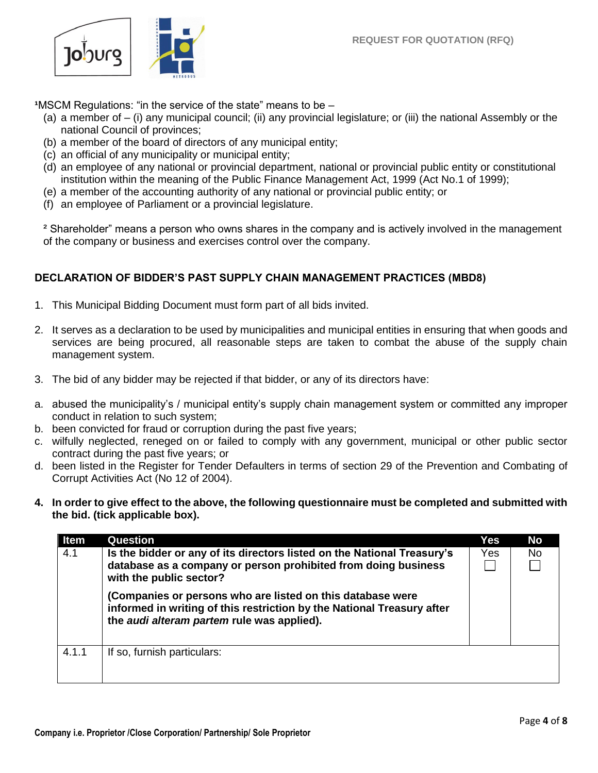

**<sup>1</sup>MSCM Regulations: "in the service of the state" means to be –** 

- (a) a member of  $-$  (i) any municipal council; (ii) any provincial legislature; or (iii) the national Assembly or the national Council of provinces;
- (b) a member of the board of directors of any municipal entity;
- (c) an official of any municipality or municipal entity;
- (d) an employee of any national or provincial department, national or provincial public entity or constitutional institution within the meaning of the Public Finance Management Act, 1999 (Act No.1 of 1999);
- (e) a member of the accounting authority of any national or provincial public entity; or
- (f) an employee of Parliament or a provincial legislature.

² Shareholder" means a person who owns shares in the company and is actively involved in the management of the company or business and exercises control over the company.

# **DECLARATION OF BIDDER'S PAST SUPPLY CHAIN MANAGEMENT PRACTICES (MBD8)**

- 1. This Municipal Bidding Document must form part of all bids invited.
- 2. It serves as a declaration to be used by municipalities and municipal entities in ensuring that when goods and services are being procured, all reasonable steps are taken to combat the abuse of the supply chain management system.
- 3. The bid of any bidder may be rejected if that bidder, or any of its directors have:
- a. abused the municipality's / municipal entity's supply chain management system or committed any improper conduct in relation to such system;
- b. been convicted for fraud or corruption during the past five years;
- c. wilfully neglected, reneged on or failed to comply with any government, municipal or other public sector contract during the past five years; or
- d. been listed in the Register for Tender Defaulters in terms of section 29 of the Prevention and Combating of Corrupt Activities Act (No 12 of 2004).
- **4. In order to give effect to the above, the following questionnaire must be completed and submitted with the bid. (tick applicable box).**

| <b>Item</b> | Question                                                                                                                                                                           | Yes | No  |
|-------------|------------------------------------------------------------------------------------------------------------------------------------------------------------------------------------|-----|-----|
| 4.1         | Is the bidder or any of its directors listed on the National Treasury's<br>database as a company or person prohibited from doing business<br>with the public sector?               | Yes | No. |
|             | (Companies or persons who are listed on this database were<br>informed in writing of this restriction by the National Treasury after<br>the audi alteram partem rule was applied). |     |     |
| 4.1.1       | If so, furnish particulars:                                                                                                                                                        |     |     |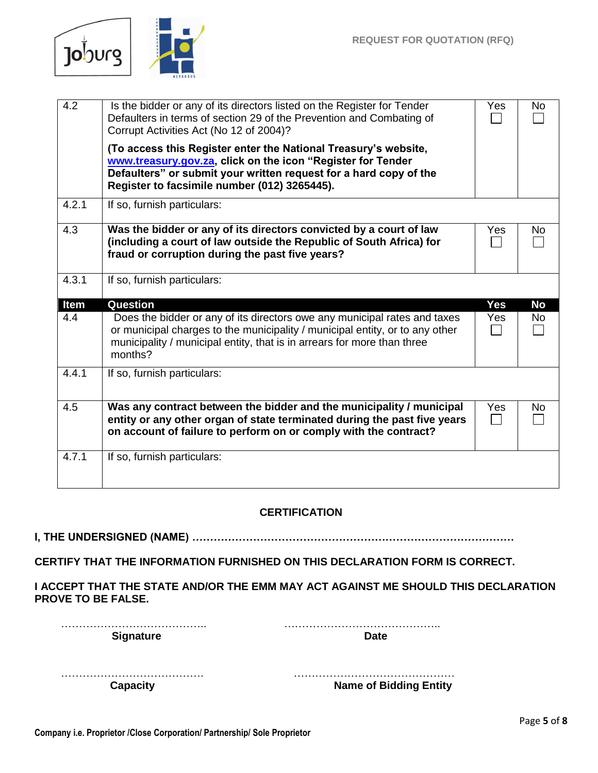

| 4.2   | Is the bidder or any of its directors listed on the Register for Tender<br>Defaulters in terms of section 29 of the Prevention and Combating of<br>Corrupt Activities Act (No 12 of 2004)?                                                          | Yes        | <b>No</b> |
|-------|-----------------------------------------------------------------------------------------------------------------------------------------------------------------------------------------------------------------------------------------------------|------------|-----------|
|       | (To access this Register enter the National Treasury's website,<br>www.treasury.gov.za, click on the icon "Register for Tender<br>Defaulters" or submit your written request for a hard copy of the<br>Register to facsimile number (012) 3265445). |            |           |
| 4.2.1 | If so, furnish particulars:                                                                                                                                                                                                                         |            |           |
| 4.3   | Was the bidder or any of its directors convicted by a court of law<br>(including a court of law outside the Republic of South Africa) for<br>fraud or corruption during the past five years?                                                        | Yes        | No        |
| 4.3.1 | If so, furnish particulars:                                                                                                                                                                                                                         |            |           |
|       |                                                                                                                                                                                                                                                     |            |           |
| Item  | <b>Question</b>                                                                                                                                                                                                                                     | <b>Yes</b> | <b>No</b> |
| 4.4   | Does the bidder or any of its directors owe any municipal rates and taxes<br>or municipal charges to the municipality / municipal entity, or to any other<br>municipality / municipal entity, that is in arrears for more than three<br>months?     | Yes        | <b>No</b> |
| 4.4.1 | If so, furnish particulars:                                                                                                                                                                                                                         |            |           |
| 4.5   | Was any contract between the bidder and the municipality / municipal<br>entity or any other organ of state terminated during the past five years<br>on account of failure to perform on or comply with the contract?                                | Yes        | No        |

## **CERTIFICATION**

**I, THE UNDERSIGNED (NAME) ………………………………………………………………………………**

**CERTIFY THAT THE INFORMATION FURNISHED ON THIS DECLARATION FORM IS CORRECT.**

**I ACCEPT THAT THE STATE AND/OR THE EMM MAY ACT AGAINST ME SHOULD THIS DECLARATION PROVE TO BE FALSE.**

………………………………….. …………………………………….. **Signature Date** 

| <b>Name of Bidding Entity</b> |
|-------------------------------|

 **Capacity Name of Bidding Entity**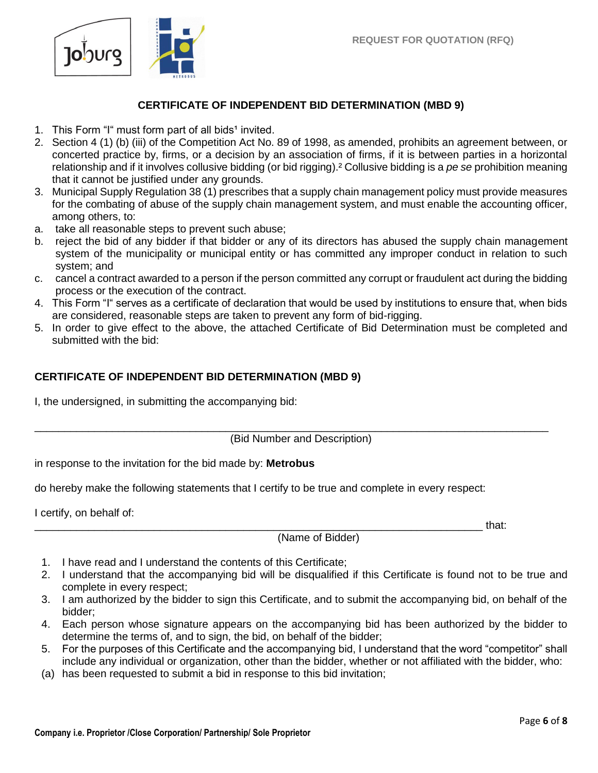

#### **CERTIFICATE OF INDEPENDENT BID DETERMINATION (MBD 9)**

- 1. This Form "I" must form part of all bids<sup>1</sup> invited.
- 2. Section 4 (1) (b) (iii) of the Competition Act No. 89 of 1998, as amended, prohibits an agreement between, or concerted practice by, firms, or a decision by an association of firms, if it is between parties in a horizontal relationship and if it involves collusive bidding (or bid rigging).² Collusive bidding is a *pe se* prohibition meaning that it cannot be justified under any grounds.
- 3. Municipal Supply Regulation 38 (1) prescribes that a supply chain management policy must provide measures for the combating of abuse of the supply chain management system, and must enable the accounting officer, among others, to:
- a. take all reasonable steps to prevent such abuse;
- b. reject the bid of any bidder if that bidder or any of its directors has abused the supply chain management system of the municipality or municipal entity or has committed any improper conduct in relation to such system; and
- c. cancel a contract awarded to a person if the person committed any corrupt or fraudulent act during the bidding process or the execution of the contract.
- 4. This Form "I" serves as a certificate of declaration that would be used by institutions to ensure that, when bids are considered, reasonable steps are taken to prevent any form of bid-rigging.
- 5. In order to give effect to the above, the attached Certificate of Bid Determination must be completed and submitted with the bid:

#### **CERTIFICATE OF INDEPENDENT BID DETERMINATION (MBD 9)**

I, the undersigned, in submitting the accompanying bid:

(Bid Number and Description)

\_\_\_\_\_\_\_\_\_\_\_\_\_\_\_\_\_\_\_\_\_\_\_\_\_\_\_\_\_\_\_\_\_\_\_\_\_\_\_\_\_\_\_\_\_\_\_\_\_\_\_\_\_\_\_\_\_\_\_\_\_\_\_\_\_\_\_\_\_\_\_\_\_\_\_\_\_\_\_\_\_\_\_\_\_\_

in response to the invitation for the bid made by: **Metrobus**

do hereby make the following statements that I certify to be true and complete in every respect:

I certify, on behalf of:

\_\_\_\_\_\_\_\_\_\_\_\_\_\_\_\_\_\_\_\_\_\_\_\_\_\_\_\_\_\_\_\_\_\_\_\_\_\_\_\_\_\_\_\_\_\_\_\_\_\_\_\_\_\_\_\_\_\_\_\_\_\_\_\_\_\_\_\_\_\_\_\_\_\_\_ that: (Name of Bidder)

- 1. I have read and I understand the contents of this Certificate;
- 2. I understand that the accompanying bid will be disqualified if this Certificate is found not to be true and complete in every respect;
- 3. I am authorized by the bidder to sign this Certificate, and to submit the accompanying bid, on behalf of the bidder;
- 4. Each person whose signature appears on the accompanying bid has been authorized by the bidder to determine the terms of, and to sign, the bid, on behalf of the bidder;
- 5. For the purposes of this Certificate and the accompanying bid, I understand that the word "competitor" shall include any individual or organization, other than the bidder, whether or not affiliated with the bidder, who:
- (a) has been requested to submit a bid in response to this bid invitation;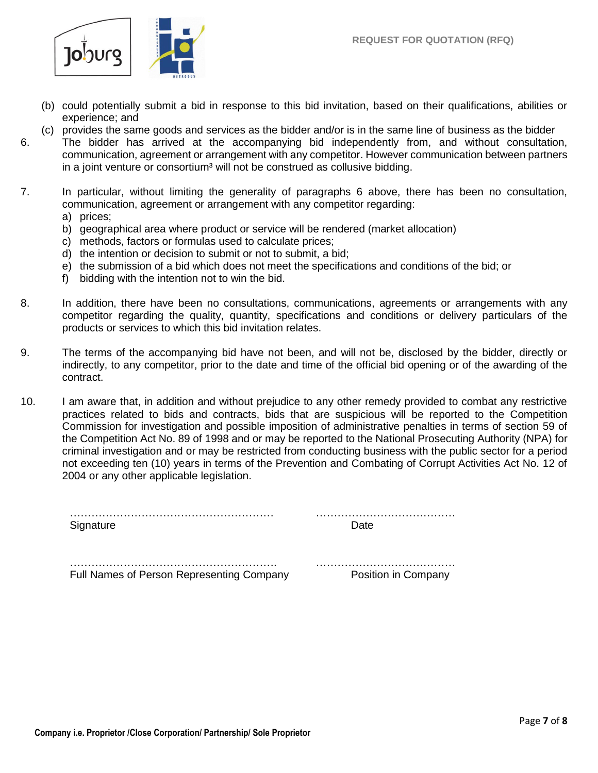

- (b) could potentially submit a bid in response to this bid invitation, based on their qualifications, abilities or experience; and
- (c) provides the same goods and services as the bidder and/or is in the same line of business as the bidder 6. The bidder has arrived at the accompanying bid independently from, and without consultation, communication, agreement or arrangement with any competitor. However communication between partners in a joint venture or consortium<sup>3</sup> will not be construed as collusive bidding.
- 7. In particular, without limiting the generality of paragraphs 6 above, there has been no consultation, communication, agreement or arrangement with any competitor regarding: a) prices;
	- b) geographical area where product or service will be rendered (market allocation)
	- c) methods, factors or formulas used to calculate prices;
	- d) the intention or decision to submit or not to submit, a bid;
	- e) the submission of a bid which does not meet the specifications and conditions of the bid; or
	- f) bidding with the intention not to win the bid.
- 8. In addition, there have been no consultations, communications, agreements or arrangements with any competitor regarding the quality, quantity, specifications and conditions or delivery particulars of the products or services to which this bid invitation relates.
- 9. The terms of the accompanying bid have not been, and will not be, disclosed by the bidder, directly or indirectly, to any competitor, prior to the date and time of the official bid opening or of the awarding of the contract.
- 10. I am aware that, in addition and without prejudice to any other remedy provided to combat any restrictive practices related to bids and contracts, bids that are suspicious will be reported to the Competition Commission for investigation and possible imposition of administrative penalties in terms of section 59 of the Competition Act No. 89 of 1998 and or may be reported to the National Prosecuting Authority (NPA) for criminal investigation and or may be restricted from conducting business with the public sector for a period not exceeding ten (10) years in terms of the Prevention and Combating of Corrupt Activities Act No. 12 of 2004 or any other applicable legislation.

………………………………………………… ………………………………… Signature Date **Date** 

…………………………………………………. ………………………………… Full Names of Person Representing Company Position in Company